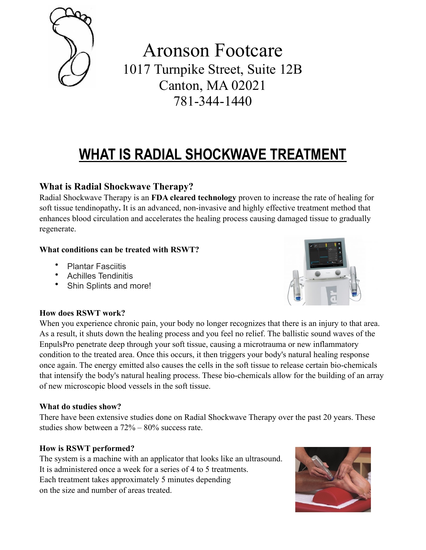

Aronson Footcare 1017 Turnpike Street, Suite 12B Canton, MA 02021 781-344-1440

# **WHAT IS RADIAL SHOCKWAVE TREATMENT**

## **What is Radial Shockwave Therapy?**

Radial Shockwave Therapy is an **FDA cleared technology** proven to increase the rate of healing for soft tissue tendinopathy**.** It is an advanced, non-invasive and highly effective treatment method that enhances blood circulation and accelerates the healing process causing damaged tissue to gradually regenerate.

### **What conditions can be treated with RSWT?**

- Plantar Fasciitis<br>• Achilles Tendinit
- Achilles Tendinitis
- Shin Splints and more!



### **How does RSWT work?**

When you experience chronic pain, your body no longer recognizes that there is an injury to that area. As a result, it shuts down the healing process and you feel no relief. The ballistic sound waves of the EnpulsPro penetrate deep through your soft tissue, causing a microtrauma or new inflammatory condition to the treated area. Once this occurs, it then triggers your body's natural healing response once again. The energy emitted also causes the cells in the soft tissue to release certain bio-chemicals that intensify the body's natural healing process. These bio-chemicals allow for the building of an array of new microscopic blood vessels in the soft tissue.

### **What do studies show?**

There have been extensive studies done on Radial Shockwave Therapy over the past 20 years. These studies show between a 72% – 80% success rate.

### **How is RSWT performed?**

The system is a machine with an applicator that looks like an ultrasound. It is administered once a week for a series of 4 to 5 treatments. Each treatment takes approximately 5 minutes depending on the size and number of areas treated.